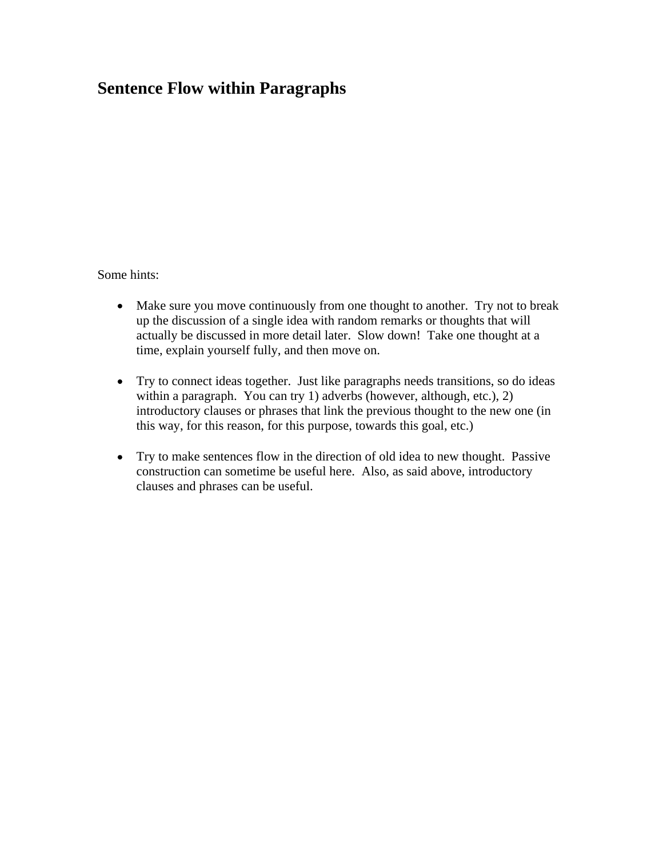## **Sentence Flow within Paragraphs**

Some hints:

- Make sure you move continuously from one thought to another. Try not to break up the discussion of a single idea with random remarks or thoughts that will actually be discussed in more detail later. Slow down! Take one thought at a time, explain yourself fully, and then move on.
- Try to connect ideas together. Just like paragraphs needs transitions, so do ideas within a paragraph. You can try 1) adverbs (however, although, etc.), 2) introductory clauses or phrases that link the previous thought to the new one (in this way, for this reason, for this purpose, towards this goal, etc.)
- Try to make sentences flow in the direction of old idea to new thought. Passive construction can sometime be useful here. Also, as said above, introductory clauses and phrases can be useful.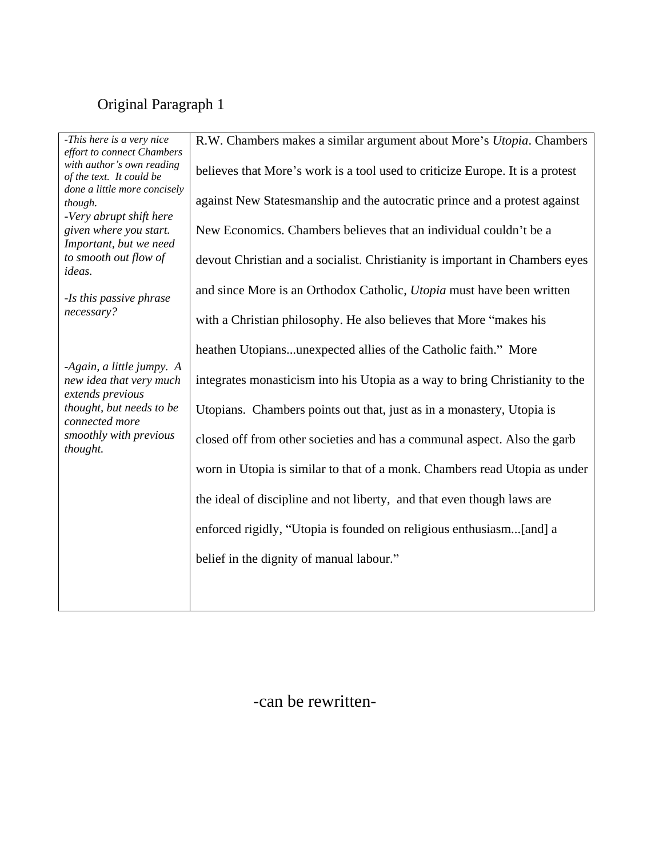## Original Paragraph 1

| -This here is a very nice    | R.W. Chambers makes a similar argument about More's Utopia. Chambers          |  |
|------------------------------|-------------------------------------------------------------------------------|--|
| effort to connect Chambers   |                                                                               |  |
| with author's own reading    | believes that More's work is a tool used to criticize Europe. It is a protest |  |
| of the text. It could be     |                                                                               |  |
| done a little more concisely |                                                                               |  |
| though.                      | against New Statesmanship and the autocratic prince and a protest against     |  |
| -Very abrupt shift here      |                                                                               |  |
| given where you start.       | New Economics. Chambers believes that an individual couldn't be a             |  |
| Important, but we need       |                                                                               |  |
| to smooth out flow of        | devout Christian and a socialist. Christianity is important in Chambers eyes  |  |
| ideas.                       |                                                                               |  |
|                              | and since More is an Orthodox Catholic, Utopia must have been written         |  |
| -Is this passive phrase      |                                                                               |  |
| necessary?                   |                                                                               |  |
|                              | with a Christian philosophy. He also believes that More "makes his            |  |
|                              |                                                                               |  |
|                              | heathen Utopiansunexpected allies of the Catholic faith." More                |  |
| -Again, a little jumpy. A    |                                                                               |  |
| new idea that very much      | integrates monasticism into his Utopia as a way to bring Christianity to the  |  |
| extends previous             |                                                                               |  |
| thought, but needs to be     | Utopians. Chambers points out that, just as in a monastery, Utopia is         |  |
| connected more               |                                                                               |  |
| smoothly with previous       | closed off from other societies and has a communal aspect. Also the garb      |  |
| thought.                     |                                                                               |  |
|                              |                                                                               |  |
|                              | worn in Utopia is similar to that of a monk. Chambers read Utopia as under    |  |
|                              |                                                                               |  |
|                              | the ideal of discipline and not liberty, and that even though laws are        |  |
|                              |                                                                               |  |
|                              | enforced rigidly, "Utopia is founded on religious enthusiasm[and] a           |  |
|                              |                                                                               |  |
|                              | belief in the dignity of manual labour."                                      |  |
|                              |                                                                               |  |
|                              |                                                                               |  |
|                              |                                                                               |  |
|                              |                                                                               |  |

-can be rewritten-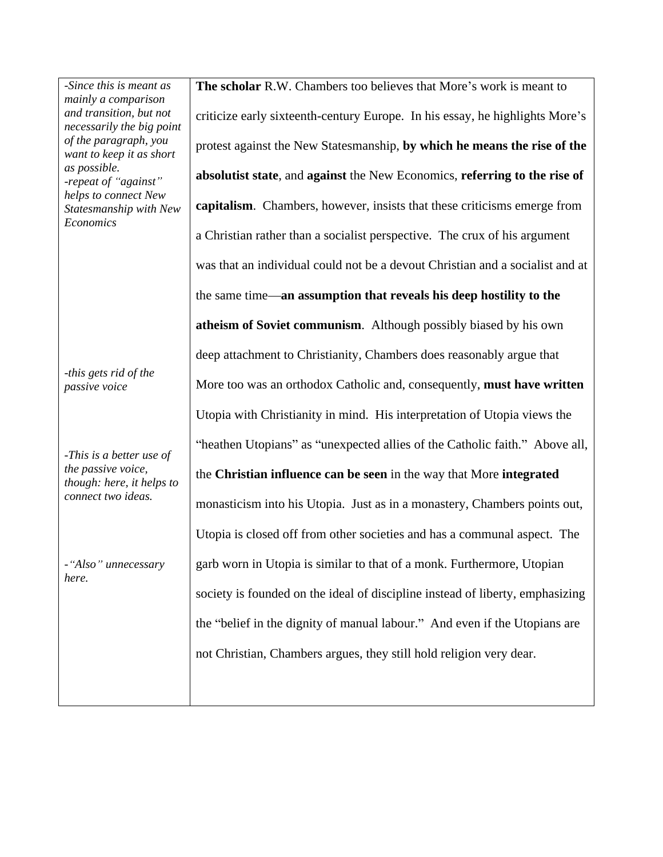*mainly a comparison necessarily the big point want to keep it as short helps to connect New* 

*-this gets rid of the* 

*-This is a better use of though: here, it helps to* 

*-Since this is meant as*  $\vert$  **The scholar** R.W. Chambers too believes that More's work is meant to *and transition, but not*  $\vert$  criticize early sixteenth-century Europe. In his essay, he highlights More's *of the paragraph, you*  protest against the New Statesmanship, **by which he means the rise of the**  *as possible. -repeat of against* **absolutist state**, and **against** the New Economics, **referring to the rise of**  *Statesmanship with New* **capitalism**. Chambers, however, insists that these criticisms emerge from *Economics passive voice* More too was an orthodox Catholic and, consequently, **must have written** *the passive voice,*  the **Christian influence can be seen** in the way that More **integrated** *connect two ideas.* monasticism into his Utopia. Just as in a monastery, Chambers points out, - "Also" unnecessary  $\parallel$  garb worn in Utopia is similar to that of a monk. Furthermore, Utopian *here.* a Christian rather than a socialist perspective. The crux of his argument was that an individual could not be a devout Christian and a socialist and at the same time **an assumption that reveals his deep hostility to the atheism of Soviet communism**. Although possibly biased by his own deep attachment to Christianity, Chambers does reasonably argue that Utopia with Christianity in mind. His interpretation of Utopia views the "heathen Utopians" as "unexpected allies of the Catholic faith." Above all, Utopia is closed off from other societies and has a communal aspect. The society is founded on the ideal of discipline instead of liberty, emphasizing the "belief in the dignity of manual labour." And even if the Utopians are not Christian, Chambers argues, they still hold religion very dear.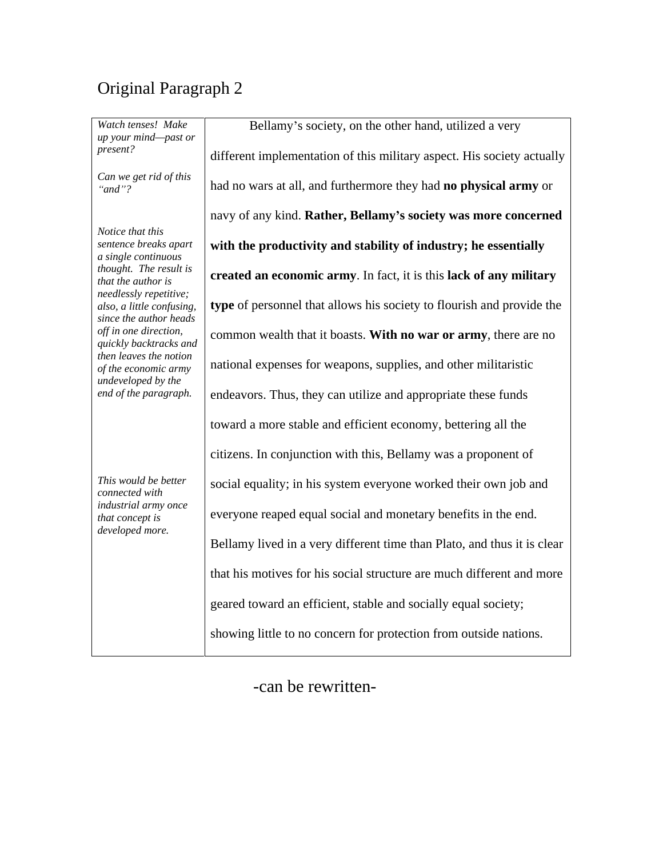## Original Paragraph 2

| Watch tenses! Make<br>up your mind-past or<br>present?                                               | Bellamy's society, on the other hand, utilized a very                   |
|------------------------------------------------------------------------------------------------------|-------------------------------------------------------------------------|
|                                                                                                      | different implementation of this military aspect. His society actually  |
| Can we get rid of this<br>" $and$ "?                                                                 | had no wars at all, and furthermore they had no physical army or        |
|                                                                                                      | navy of any kind. Rather, Bellamy's society was more concerned          |
| Notice that this<br>sentence breaks apart<br>a single continuous                                     | with the productivity and stability of industry; he essentially         |
| thought. The result is<br>that the author is<br>needlessly repetitive;                               | created an economic army. In fact, it is this lack of any military      |
| also, a little confusing,<br>since the author heads                                                  | type of personnel that allows his society to flourish and provide the   |
| off in one direction,<br>quickly backtracks and                                                      | common wealth that it boasts. With no war or army, there are no         |
| then leaves the notion<br>of the economic army<br>undeveloped by the                                 | national expenses for weapons, supplies, and other militaristic         |
| end of the paragraph.                                                                                | endeavors. Thus, they can utilize and appropriate these funds           |
|                                                                                                      | toward a more stable and efficient economy, bettering all the           |
|                                                                                                      | citizens. In conjunction with this, Bellamy was a proponent of          |
| This would be better<br>connected with<br>industrial army once<br>that concept is<br>developed more. | social equality; in his system everyone worked their own job and        |
|                                                                                                      | everyone reaped equal social and monetary benefits in the end.          |
|                                                                                                      | Bellamy lived in a very different time than Plato, and thus it is clear |
|                                                                                                      | that his motives for his social structure are much different and more   |
|                                                                                                      | geared toward an efficient, stable and socially equal society;          |
|                                                                                                      | showing little to no concern for protection from outside nations.       |
|                                                                                                      |                                                                         |

-can be rewritten-